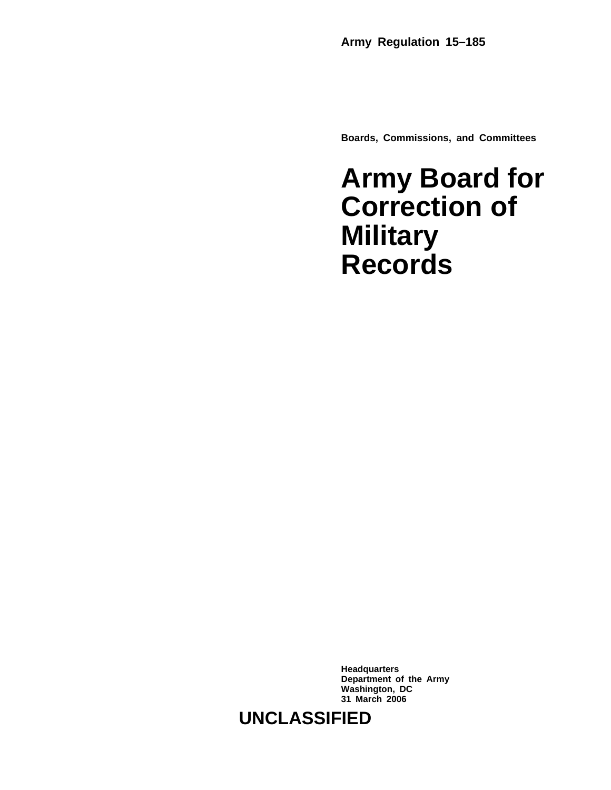**Boards, Commissions, and Committees**

# **Army Board for Correction of Military Records**

**Headquarters Department of the Army Washington, DC 31 March 2006**

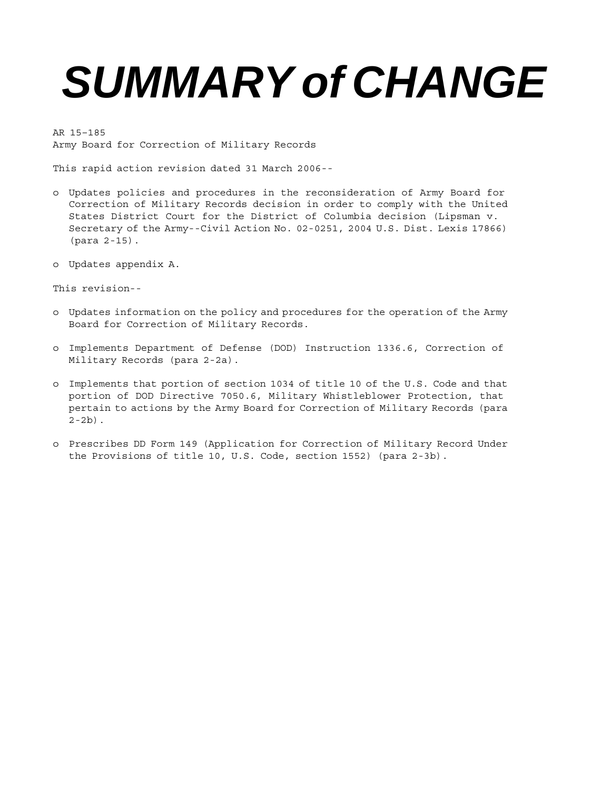# *SUMMARY of CHANGE*

AR 15–185 Army Board for Correction of Military Records

This rapid action revision dated 31 March 2006--

- o Updates policies and procedures in the reconsideration of Army Board for Correction of Military Records decision in order to comply with the United States District Court for the District of Columbia decision (Lipsman v. Secretary of the Army--Civil Action No. 02-0251, 2004 U.S. Dist. Lexis 17866) (para 2-15).
- o Updates appendix A.

This revision--

- o Updates information on the policy and procedures for the operation of the Army Board for Correction of Military Records.
- o Implements Department of Defense (DOD) Instruction 1336.6, Correction of Military Records (para 2-2a).
- o Implements that portion of section 1034 of title 10 of the U.S. Code and that portion of DOD Directive 7050.6, Military Whistleblower Protection, that pertain to actions by the Army Board for Correction of Military Records (para  $2 - 2b$ ).
- o Prescribes DD Form 149 (Application for Correction of Military Record Under the Provisions of title 10, U.S. Code, section 1552) (para 2-3b).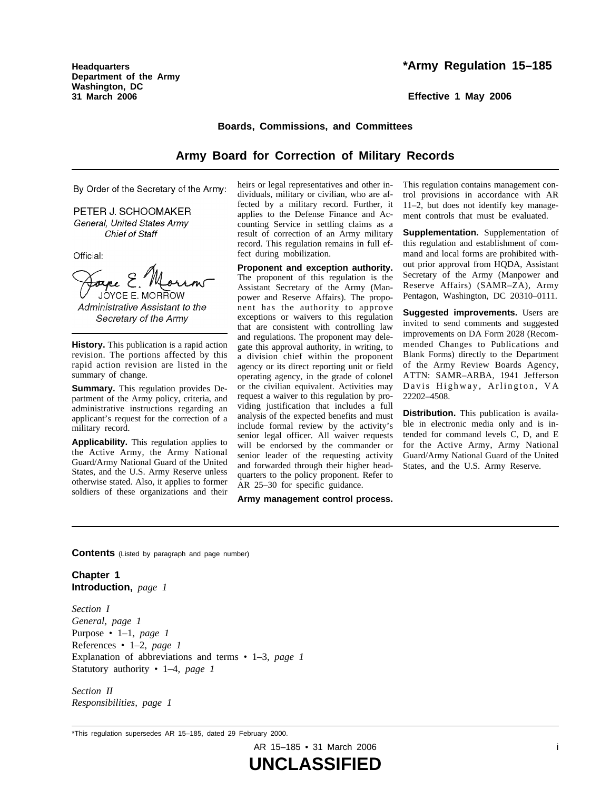**Headquarters Department of the Army Washington, DC 31 March 2006**

**Effective 1 May 2006**

#### **Boards, Commissions, and Committees**

#### **Army Board for Correction of Military Records**

By Order of the Secretary of the Army:

PETER J. SCHOOMAKER General, United States Army **Chief of Staff** 

Official:

JOYCE E. MORROW

Administrative Assistant to the Secretary of the Army

**History.** This publication is a rapid action revision. The portions affected by this rapid action revision are listed in the summary of change.

**Summary.** This regulation provides Department of the Army policy, criteria, and administrative instructions regarding an applicant's request for the correction of a military record.

**Applicability.** This regulation applies to the Active Army, the Army National Guard/Army National Guard of the United States, and the U.S. Army Reserve unless otherwise stated. Also, it applies to former soldiers of these organizations and their

heirs or legal representatives and other individuals, military or civilian, who are affected by a military record. Further, it applies to the Defense Finance and Accounting Service in settling claims as a result of correction of an Army military record. This regulation remains in full effect during mobilization.

**Proponent and exception authority.** The proponent of this regulation is the Assistant Secretary of the Army (Manpower and Reserve Affairs). The proponent has the authority to approve exceptions or waivers to this regulation that are consistent with controlling law and regulations. The proponent may delegate this approval authority, in writing, to a division chief within the proponent agency or its direct reporting unit or field operating agency, in the grade of colonel or the civilian equivalent. Activities may request a waiver to this regulation by providing justification that includes a full analysis of the expected benefits and must include formal review by the activity's senior legal officer. All waiver requests will be endorsed by the commander or senior leader of the requesting activity and forwarded through their higher headquarters to the policy proponent. Refer to AR 25–30 for specific guidance.

**Army management control process.**

This regulation contains management control provisions in accordance with AR 11–2, but does not identify key management controls that must be evaluated.

**Supplementation.** Supplementation of this regulation and establishment of command and local forms are prohibited without prior approval from HQDA, Assistant Secretary of the Army (Manpower and Reserve Affairs) (SAMR-ZA), Army Pentagon, Washington, DC 20310–0111.

**Suggested improvements.** Users are invited to send comments and suggested improvements on DA Form 2028 (Recommended Changes to Publications and Blank Forms) directly to the Department of the Army Review Boards Agency, ATTN: SAMR-ARBA, 1941 Jefferson Davis Highway, Arlington, VA 22202–4508.

**Distribution.** This publication is available in electronic media only and is intended for command levels C, D, and E for the Active Army, Army National Guard/Army National Guard of the United States, and the U.S. Army Reserve.

**Contents** (Listed by paragraph and page number)

**Chapter 1 Introduction,** *page 1*

*Section I General, page 1* Purpose • 1–1, *page 1* References • 1–2, *page 1* Explanation of abbreviations and terms • 1–3, *page 1* Statutory authority • 1–4, *page 1*

*Section II Responsibilities, page 1*

<sup>\*</sup>This regulation supersedes AR 15–185, dated 29 February 2000.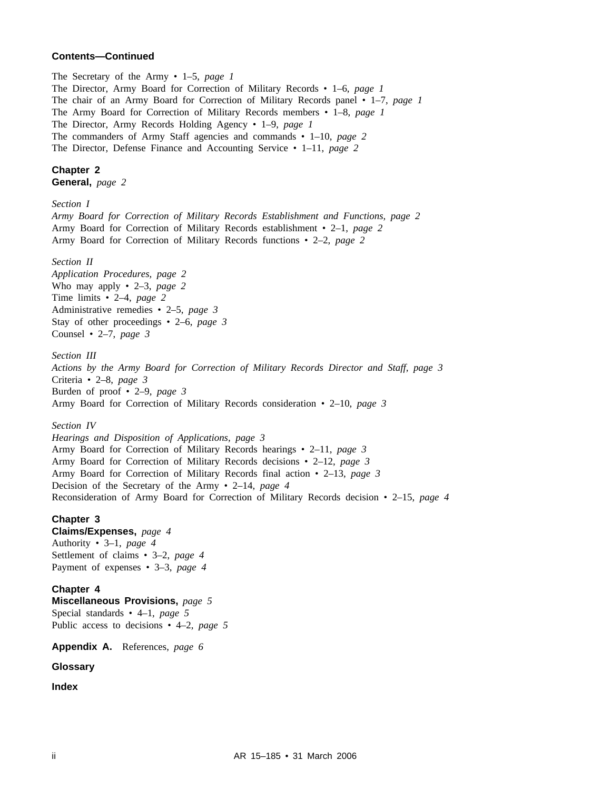#### **Contents—Continued**

The Secretary of the Army • 1–5, *page 1* The Director, Army Board for Correction of Military Records • 1–6, *page 1* The chair of an Army Board for Correction of Military Records panel • 1–7, *page 1* The Army Board for Correction of Military Records members • 1–8, *page 1* The Director, Army Records Holding Agency • 1–9, *page 1* The commanders of Army Staff agencies and commands • 1–10, *page 2* The Director, Defense Finance and Accounting Service • 1–11, *page 2*

**Chapter 2 General,** *page 2*

*Section I Army Board for Correction of Military Records Establishment and Functions, page 2* Army Board for Correction of Military Records establishment • 2–1, *page 2* Army Board for Correction of Military Records functions • 2–2, *page 2*

*Section II*

*Application Procedures, page 2* Who may apply • 2–3, *page 2* Time limits • 2–4, *page 2* Administrative remedies • 2–5, *page 3* Stay of other proceedings • 2–6, *page 3* Counsel • 2–7, *page 3*

*Section III Actions by the Army Board for Correction of Military Records Director and Staff, page 3* Criteria • 2–8, *page 3* Burden of proof • 2–9, *page 3* Army Board for Correction of Military Records consideration • 2–10, *page 3*

*Section IV*

*Hearings and Disposition of Applications, page 3* Army Board for Correction of Military Records hearings • 2–11, *page 3* Army Board for Correction of Military Records decisions • 2–12, *page 3* Army Board for Correction of Military Records final action • 2–13, *page 3* Decision of the Secretary of the Army • 2–14, *page 4* Reconsideration of Army Board for Correction of Military Records decision • 2–15, *page 4*

#### **Chapter 3**

**Claims/Expenses,** *page 4* Authority • 3–1, *page 4* Settlement of claims • 3–2, *page 4* Payment of expenses • 3–3, *page 4*

#### **Chapter 4**

**Miscellaneous Provisions,** *page 5* Special standards • 4–1, *page 5* Public access to decisions • 4–2, *page 5*

**Appendix A.** References, *page 6*

**Glossary**

**Index**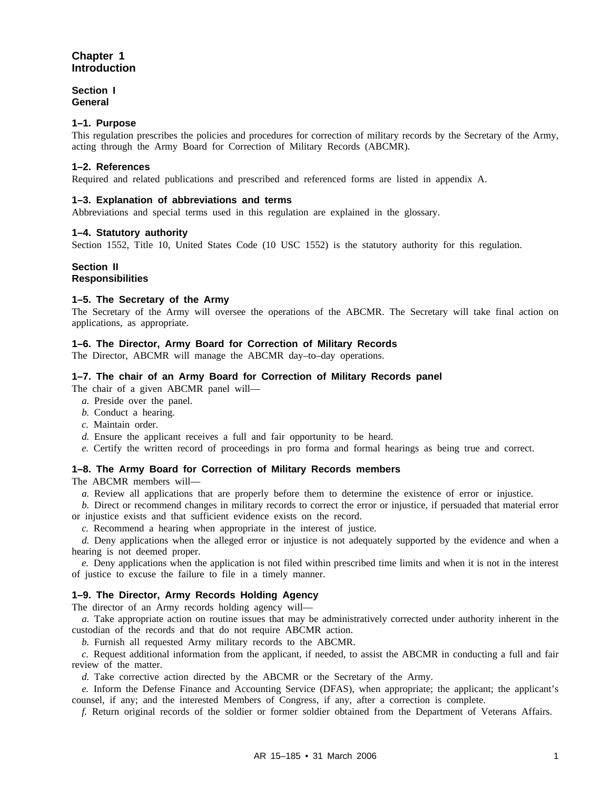#### **Chapter 1 Introduction**

#### **Section I General**

#### **1–1. Purpose**

This regulation prescribes the policies and procedures for correction of military records by the Secretary of the Army, acting through the Army Board for Correction of Military Records (ABCMR).

#### **1–2. References**

Required and related publications and prescribed and referenced forms are listed in appendix A.

#### **1–3. Explanation of abbreviations and terms**

Abbreviations and special terms used in this regulation are explained in the glossary.

#### **1–4. Statutory authority**

Section 1552, Title 10, United States Code (10 USC 1552) is the statutory authority for this regulation.

### **Section II**

#### **Responsibilities**

#### **1–5. The Secretary of the Army**

The Secretary of the Army will oversee the operations of the ABCMR. The Secretary will take final action on applications, as appropriate.

#### **1–6. The Director, Army Board for Correction of Military Records**

The Director, ABCMR will manage the ABCMR day–to–day operations.

#### **1–7. The chair of an Army Board for Correction of Military Records panel**

The chair of a given ABCMR panel will—

- *a.* Preside over the panel.
- *b.* Conduct a hearing.
- *c.* Maintain order.
- *d.* Ensure the applicant receives a full and fair opportunity to be heard.
- *e.* Certify the written record of proceedings in pro forma and formal hearings as being true and correct.

#### **1–8. The Army Board for Correction of Military Records members**

The ABCMR members will—

*a.* Review all applications that are properly before them to determine the existence of error or injustice.

*b.* Direct or recommend changes in military records to correct the error or injustice, if persuaded that material error or injustice exists and that sufficient evidence exists on the record.

*c.* Recommend a hearing when appropriate in the interest of justice.

*d.* Deny applications when the alleged error or injustice is not adequately supported by the evidence and when a hearing is not deemed proper.

*e.* Deny applications when the application is not filed within prescribed time limits and when it is not in the interest of justice to excuse the failure to file in a timely manner.

#### **1–9. The Director, Army Records Holding Agency**

The director of an Army records holding agency will—

*a.* Take appropriate action on routine issues that may be administratively corrected under authority inherent in the custodian of the records and that do not require ABCMR action.

*b.* Furnish all requested Army military records to the ABCMR.

*c.* Request additional information from the applicant, if needed, to assist the ABCMR in conducting a full and fair review of the matter.

*d.* Take corrective action directed by the ABCMR or the Secretary of the Army.

*e.* Inform the Defense Finance and Accounting Service (DFAS), when appropriate; the applicant; the applicant's counsel, if any; and the interested Members of Congress, if any, after a correction is complete.

*f.* Return original records of the soldier or former soldier obtained from the Department of Veterans Affairs.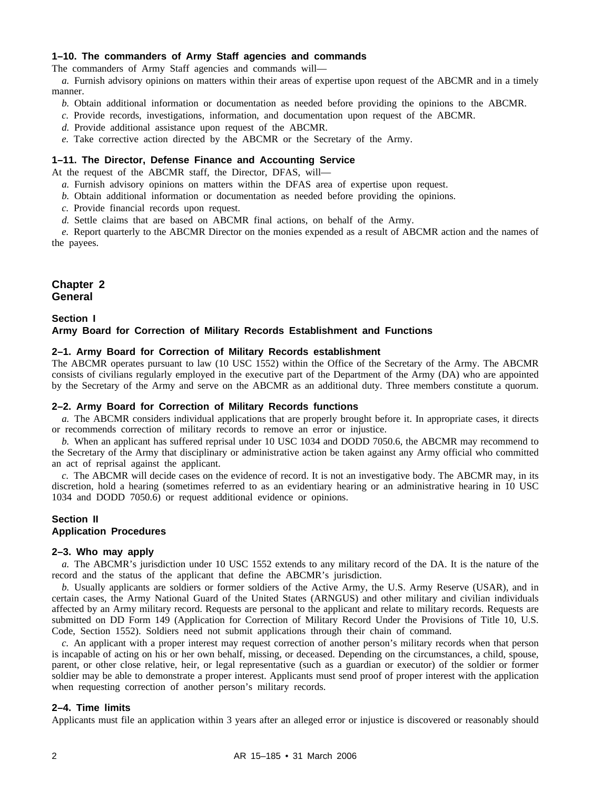#### **1–10. The commanders of Army Staff agencies and commands**

The commanders of Army Staff agencies and commands will—

*a.* Furnish advisory opinions on matters within their areas of expertise upon request of the ABCMR and in a timely manner.

- *b.* Obtain additional information or documentation as needed before providing the opinions to the ABCMR.
- *c.* Provide records, investigations, information, and documentation upon request of the ABCMR.
- *d.* Provide additional assistance upon request of the ABCMR.
- *e.* Take corrective action directed by the ABCMR or the Secretary of the Army.

#### **1–11. The Director, Defense Finance and Accounting Service**

At the request of the ABCMR staff, the Director, DFAS, will—

- *a.* Furnish advisory opinions on matters within the DFAS area of expertise upon request.
- *b.* Obtain additional information or documentation as needed before providing the opinions.
- *c.* Provide financial records upon request.
- *d.* Settle claims that are based on ABCMR final actions, on behalf of the Army.

*e.* Report quarterly to the ABCMR Director on the monies expended as a result of ABCMR action and the names of the payees.

#### **Chapter 2 General**

#### **Section I Army Board for Correction of Military Records Establishment and Functions**

#### **2–1. Army Board for Correction of Military Records establishment**

The ABCMR operates pursuant to law (10 USC 1552) within the Office of the Secretary of the Army. The ABCMR consists of civilians regularly employed in the executive part of the Department of the Army (DA) who are appointed by the Secretary of the Army and serve on the ABCMR as an additional duty. Three members constitute a quorum.

#### **2–2. Army Board for Correction of Military Records functions**

*a.* The ABCMR considers individual applications that are properly brought before it. In appropriate cases, it directs or recommends correction of military records to remove an error or injustice.

*b.* When an applicant has suffered reprisal under 10 USC 1034 and DODD 7050.6, the ABCMR may recommend to the Secretary of the Army that disciplinary or administrative action be taken against any Army official who committed an act of reprisal against the applicant.

*c.* The ABCMR will decide cases on the evidence of record. It is not an investigative body. The ABCMR may, in its discretion, hold a hearing (sometimes referred to as an evidentiary hearing or an administrative hearing in 10 USC 1034 and DODD 7050.6) or request additional evidence or opinions.

#### **Section II Application Procedures**

#### **2–3. Who may apply**

*a.* The ABCMR's jurisdiction under 10 USC 1552 extends to any military record of the DA. It is the nature of the record and the status of the applicant that define the ABCMR's jurisdiction.

*b.* Usually applicants are soldiers or former soldiers of the Active Army, the U.S. Army Reserve (USAR), and in certain cases, the Army National Guard of the United States (ARNGUS) and other military and civilian individuals affected by an Army military record. Requests are personal to the applicant and relate to military records. Requests are submitted on DD Form 149 (Application for Correction of Military Record Under the Provisions of Title 10, U.S. Code, Section 1552). Soldiers need not submit applications through their chain of command.

*c.* An applicant with a proper interest may request correction of another person's military records when that person is incapable of acting on his or her own behalf, missing, or deceased. Depending on the circumstances, a child, spouse, parent, or other close relative, heir, or legal representative (such as a guardian or executor) of the soldier or former soldier may be able to demonstrate a proper interest. Applicants must send proof of proper interest with the application when requesting correction of another person's military records.

#### **2–4. Time limits**

Applicants must file an application within 3 years after an alleged error or injustice is discovered or reasonably should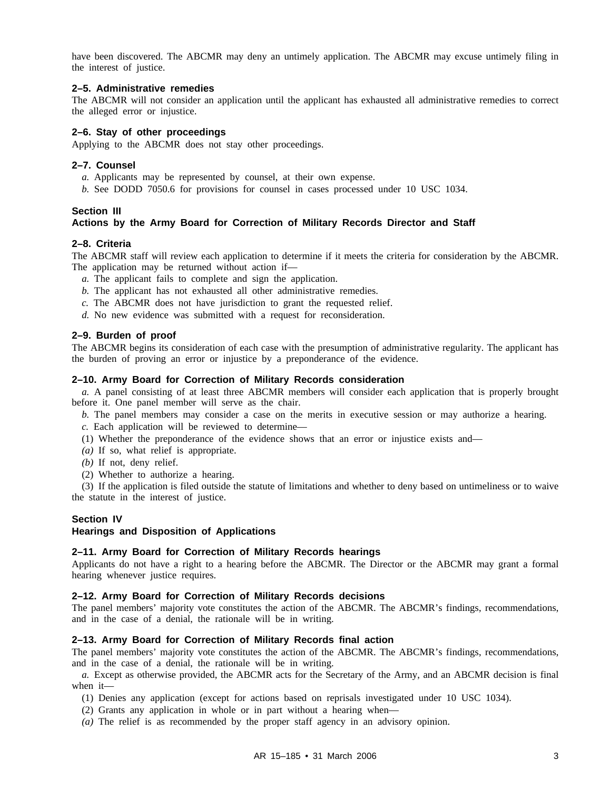have been discovered. The ABCMR may deny an untimely application. The ABCMR may excuse untimely filing in the interest of justice.

#### **2–5. Administrative remedies**

The ABCMR will not consider an application until the applicant has exhausted all administrative remedies to correct the alleged error or injustice.

#### **2–6. Stay of other proceedings**

Applying to the ABCMR does not stay other proceedings.

#### **2–7. Counsel**

- *a.* Applicants may be represented by counsel, at their own expense.
- *b.* See DODD 7050.6 for provisions for counsel in cases processed under 10 USC 1034.

#### **Section III**

#### **Actions by the Army Board for Correction of Military Records Director and Staff**

#### **2–8. Criteria**

The ABCMR staff will review each application to determine if it meets the criteria for consideration by the ABCMR. The application may be returned without action if—

- *a.* The applicant fails to complete and sign the application.
- *b.* The applicant has not exhausted all other administrative remedies.
- *c.* The ABCMR does not have jurisdiction to grant the requested relief.
- *d.* No new evidence was submitted with a request for reconsideration.

#### **2–9. Burden of proof**

The ABCMR begins its consideration of each case with the presumption of administrative regularity. The applicant has the burden of proving an error or injustice by a preponderance of the evidence.

#### **2–10. Army Board for Correction of Military Records consideration**

*a.* A panel consisting of at least three ABCMR members will consider each application that is properly brought before it. One panel member will serve as the chair.

*b.* The panel members may consider a case on the merits in executive session or may authorize a hearing.

*c.* Each application will be reviewed to determine—

- (1) Whether the preponderance of the evidence shows that an error or injustice exists and—
- *(a)* If so, what relief is appropriate.
- *(b)* If not, deny relief.
- (2) Whether to authorize a hearing.

(3) If the application is filed outside the statute of limitations and whether to deny based on untimeliness or to waive the statute in the interest of justice.

#### **Section IV**

#### **Hearings and Disposition of Applications**

#### **2–11. Army Board for Correction of Military Records hearings**

Applicants do not have a right to a hearing before the ABCMR. The Director or the ABCMR may grant a formal hearing whenever justice requires.

#### **2–12. Army Board for Correction of Military Records decisions**

The panel members' majority vote constitutes the action of the ABCMR. The ABCMR's findings, recommendations, and in the case of a denial, the rationale will be in writing.

#### **2–13. Army Board for Correction of Military Records final action**

The panel members' majority vote constitutes the action of the ABCMR. The ABCMR's findings, recommendations, and in the case of a denial, the rationale will be in writing.

*a.* Except as otherwise provided, the ABCMR acts for the Secretary of the Army, and an ABCMR decision is final when it—

- (1) Denies any application (except for actions based on reprisals investigated under 10 USC 1034).
- (2) Grants any application in whole or in part without a hearing when—
- *(a)* The relief is as recommended by the proper staff agency in an advisory opinion.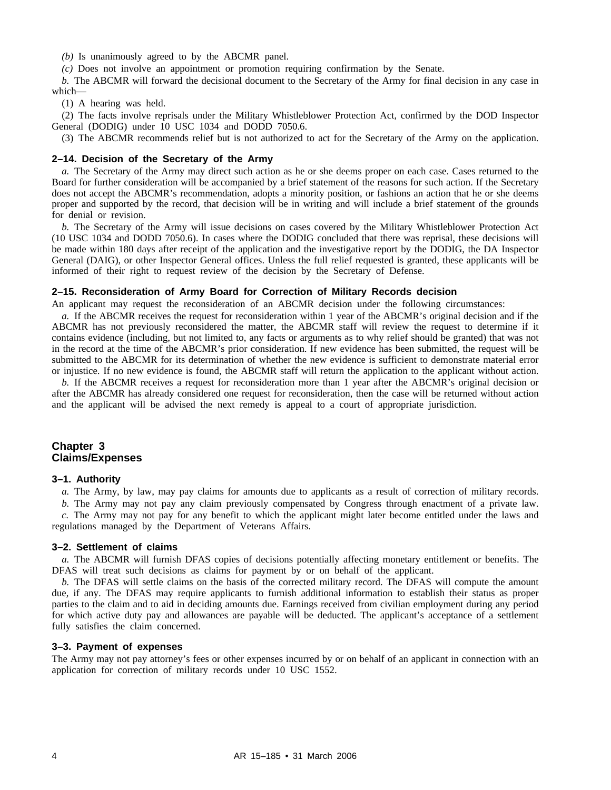*(b)* Is unanimously agreed to by the ABCMR panel.

*(c)* Does not involve an appointment or promotion requiring confirmation by the Senate.

*b.* The ABCMR will forward the decisional document to the Secretary of the Army for final decision in any case in which—

(1) A hearing was held.

(2) The facts involve reprisals under the Military Whistleblower Protection Act, confirmed by the DOD Inspector General (DODIG) under 10 USC 1034 and DODD 7050.6.

(3) The ABCMR recommends relief but is not authorized to act for the Secretary of the Army on the application.

#### **2–14. Decision of the Secretary of the Army**

*a.* The Secretary of the Army may direct such action as he or she deems proper on each case. Cases returned to the Board for further consideration will be accompanied by a brief statement of the reasons for such action. If the Secretary does not accept the ABCMR's recommendation, adopts a minority position, or fashions an action that he or she deems proper and supported by the record, that decision will be in writing and will include a brief statement of the grounds for denial or revision.

*b.* The Secretary of the Army will issue decisions on cases covered by the Military Whistleblower Protection Act (10 USC 1034 and DODD 7050.6). In cases where the DODIG concluded that there was reprisal, these decisions will be made within 180 days after receipt of the application and the investigative report by the DODIG, the DA Inspector General (DAIG), or other Inspector General offices. Unless the full relief requested is granted, these applicants will be informed of their right to request review of the decision by the Secretary of Defense.

#### **2–15. Reconsideration of Army Board for Correction of Military Records decision**

An applicant may request the reconsideration of an ABCMR decision under the following circumstances:

*a.* If the ABCMR receives the request for reconsideration within 1 year of the ABCMR's original decision and if the ABCMR has not previously reconsidered the matter, the ABCMR staff will review the request to determine if it contains evidence (including, but not limited to, any facts or arguments as to why relief should be granted) that was not in the record at the time of the ABCMR's prior consideration. If new evidence has been submitted, the request will be submitted to the ABCMR for its determination of whether the new evidence is sufficient to demonstrate material error or injustice. If no new evidence is found, the ABCMR staff will return the application to the applicant without action.

*b.* If the ABCMR receives a request for reconsideration more than 1 year after the ABCMR's original decision or after the ABCMR has already considered one request for reconsideration, then the case will be returned without action and the applicant will be advised the next remedy is appeal to a court of appropriate jurisdiction.

#### **Chapter 3 Claims/Expenses**

#### **3–1. Authority**

*a.* The Army, by law, may pay claims for amounts due to applicants as a result of correction of military records.

*b.* The Army may not pay any claim previously compensated by Congress through enactment of a private law.

*c.* The Army may not pay for any benefit to which the applicant might later become entitled under the laws and regulations managed by the Department of Veterans Affairs.

#### **3–2. Settlement of claims**

*a.* The ABCMR will furnish DFAS copies of decisions potentially affecting monetary entitlement or benefits. The DFAS will treat such decisions as claims for payment by or on behalf of the applicant.

*b.* The DFAS will settle claims on the basis of the corrected military record. The DFAS will compute the amount due, if any. The DFAS may require applicants to furnish additional information to establish their status as proper parties to the claim and to aid in deciding amounts due. Earnings received from civilian employment during any period for which active duty pay and allowances are payable will be deducted. The applicant's acceptance of a settlement fully satisfies the claim concerned.

#### **3–3. Payment of expenses**

The Army may not pay attorney's fees or other expenses incurred by or on behalf of an applicant in connection with an application for correction of military records under 10 USC 1552.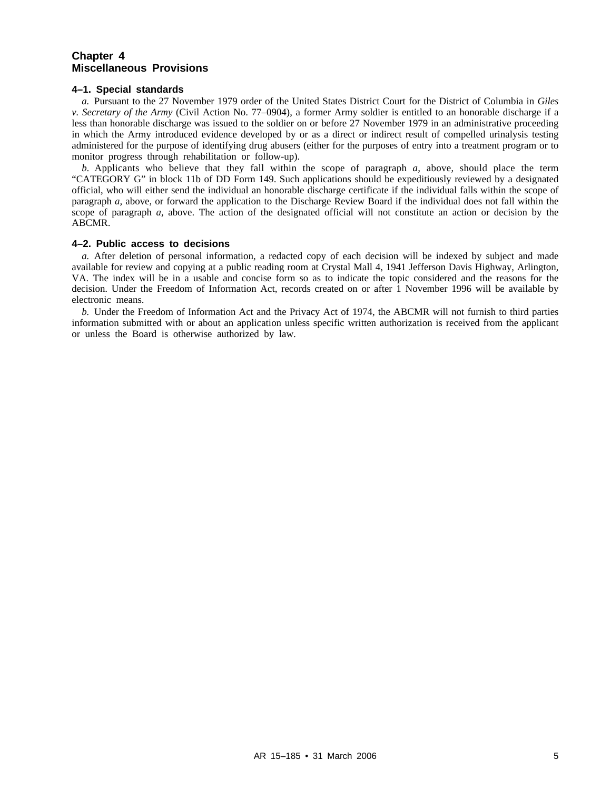#### **Chapter 4 Miscellaneous Provisions**

#### **4–1. Special standards**

*a.* Pursuant to the 27 November 1979 order of the United States District Court for the District of Columbia in *Giles v. Secretary of the Army* (Civil Action No. 77–0904), a former Army soldier is entitled to an honorable discharge if a less than honorable discharge was issued to the soldier on or before 27 November 1979 in an administrative proceeding in which the Army introduced evidence developed by or as a direct or indirect result of compelled urinalysis testing administered for the purpose of identifying drug abusers (either for the purposes of entry into a treatment program or to monitor progress through rehabilitation or follow-up).

*b.* Applicants who believe that they fall within the scope of paragraph *a*, above, should place the term "CATEGORY G" in block 11b of DD Form 149. Such applications should be expeditiously reviewed by a designated official, who will either send the individual an honorable discharge certificate if the individual falls within the scope of paragraph *a,* above, or forward the application to the Discharge Review Board if the individual does not fall within the scope of paragraph *a,* above. The action of the designated official will not constitute an action or decision by the ABCMR.

#### **4–2. Public access to decisions**

*a.* After deletion of personal information, a redacted copy of each decision will be indexed by subject and made available for review and copying at a public reading room at Crystal Mall 4, 1941 Jefferson Davis Highway, Arlington, VA. The index will be in a usable and concise form so as to indicate the topic considered and the reasons for the decision. Under the Freedom of Information Act, records created on or after 1 November 1996 will be available by electronic means.

*b.* Under the Freedom of Information Act and the Privacy Act of 1974, the ABCMR will not furnish to third parties information submitted with or about an application unless specific written authorization is received from the applicant or unless the Board is otherwise authorized by law.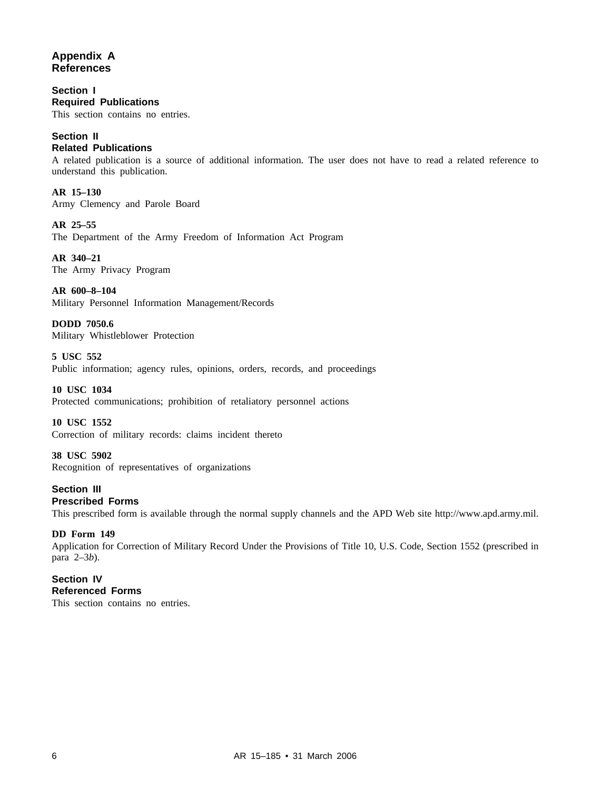#### **Appendix A References**

**Section I Required Publications** This section contains no entries.

## **Section II**

#### **Related Publications**

A related publication is a source of additional information. The user does not have to read a related reference to understand this publication.

**AR 15–130** Army Clemency and Parole Board

**AR 25–55** The Department of the Army Freedom of Information Act Program

**AR 340–21** The Army Privacy Program

**AR 600–8–104** Military Personnel Information Management/Records

**DODD 7050.6** Military Whistleblower Protection

**5 USC 552** Public information; agency rules, opinions, orders, records, and proceedings

**10 USC 1034** Protected communications; prohibition of retaliatory personnel actions

**10 USC 1552** Correction of military records: claims incident thereto

**38 USC 5902** Recognition of representatives of organizations

#### **Section III Prescribed Forms**

This prescribed form is available through the normal supply channels and the APD Web site http://www.apd.army.mil.

#### **DD Form 149**

Application for Correction of Military Record Under the Provisions of Title 10, U.S. Code, Section 1552 (prescribed in para 2–3*b*).

#### **Section IV Referenced Forms**

This section contains no entries.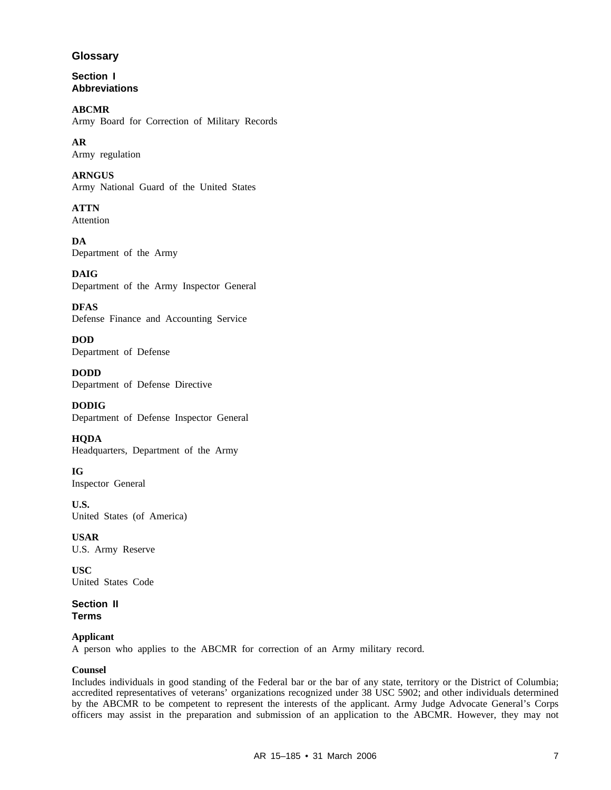#### **Glossary**

**Section I Abbreviations**

**ABCMR** Army Board for Correction of Military Records

**AR** Army regulation

**ARNGUS** Army National Guard of the United States

**ATTN** Attention

**DA** Department of the Army

**DAIG** Department of the Army Inspector General

**DFAS** Defense Finance and Accounting Service

**DOD** Department of Defense

**DODD** Department of Defense Directive

**DODIG** Department of Defense Inspector General

**HQDA** Headquarters, Department of the Army

**IG** Inspector General

**U.S.** United States (of America)

**USAR** U.S. Army Reserve

**USC** United States Code

**Section II Terms**

#### **Applicant**

A person who applies to the ABCMR for correction of an Army military record.

#### **Counsel**

Includes individuals in good standing of the Federal bar or the bar of any state, territory or the District of Columbia; accredited representatives of veterans' organizations recognized under 38 USC 5902; and other individuals determined by the ABCMR to be competent to represent the interests of the applicant. Army Judge Advocate General's Corps officers may assist in the preparation and submission of an application to the ABCMR. However, they may not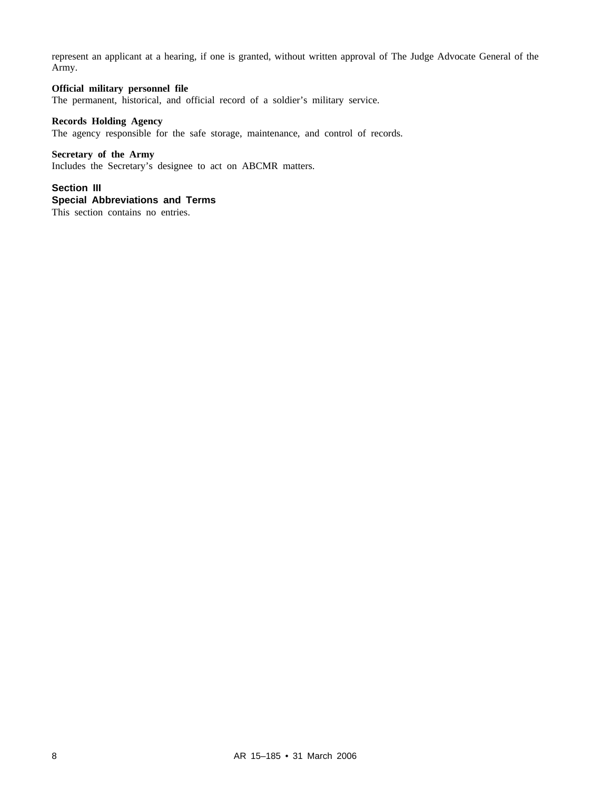represent an applicant at a hearing, if one is granted, without written approval of The Judge Advocate General of the Army.

#### **Official military personnel file**

The permanent, historical, and official record of a soldier's military service.

#### **Records Holding Agency**

The agency responsible for the safe storage, maintenance, and control of records.

#### **Secretary of the Army**

Includes the Secretary's designee to act on ABCMR matters.

#### **Section III**

#### **Special Abbreviations and Terms**

This section contains no entries.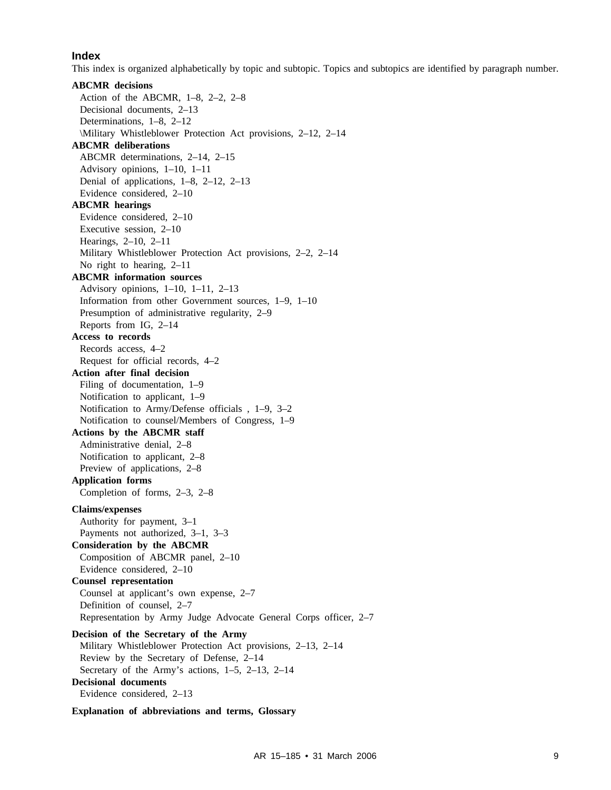#### **Index**

This index is organized alphabetically by topic and subtopic. Topics and subtopics are identified by paragraph number.

**ABCMR decisions** Action of the ABCMR, 1–8, 2–2, 2–8 Decisional documents, 2–13 Determinations, 1–8, 2–12 \Military Whistleblower Protection Act provisions, 2–12, 2–14 **ABCMR deliberations** ABCMR determinations, 2–14, 2–15 Advisory opinions, 1–10, 1–11 Denial of applications, 1–8, 2–12, 2–13 Evidence considered, 2–10 **ABCMR hearings** Evidence considered, 2–10 Executive session, 2–10 Hearings, 2–10, 2–11 Military Whistleblower Protection Act provisions, 2–2, 2–14 No right to hearing, 2–11 **ABCMR information sources** Advisory opinions, 1–10, 1–11, 2–13 Information from other Government sources, 1–9, 1–10 Presumption of administrative regularity, 2–9 Reports from IG, 2–14 **Access to records** Records access, 4–2 Request for official records, 4–2 **Action after final decision** Filing of documentation, 1–9 Notification to applicant, 1–9 Notification to Army/Defense officials , 1–9, 3–2 Notification to counsel/Members of Congress, 1–9 **Actions by the ABCMR staff** Administrative denial, 2–8 Notification to applicant, 2–8 Preview of applications, 2–8 **Application forms** Completion of forms, 2–3, 2–8 **Claims/expenses** Authority for payment, 3–1 Payments not authorized, 3–1, 3–3 **Consideration by the ABCMR** Composition of ABCMR panel, 2–10 Evidence considered, 2–10 **Counsel representation** Counsel at applicant's own expense, 2–7 Definition of counsel, 2–7 Representation by Army Judge Advocate General Corps officer, 2–7 **Decision of the Secretary of the Army** Military Whistleblower Protection Act provisions, 2–13, 2–14 Review by the Secretary of Defense, 2–14 Secretary of the Army's actions, 1–5, 2–13, 2–14 **Decisional documents** Evidence considered, 2–13

**Explanation of abbreviations and terms, Glossary**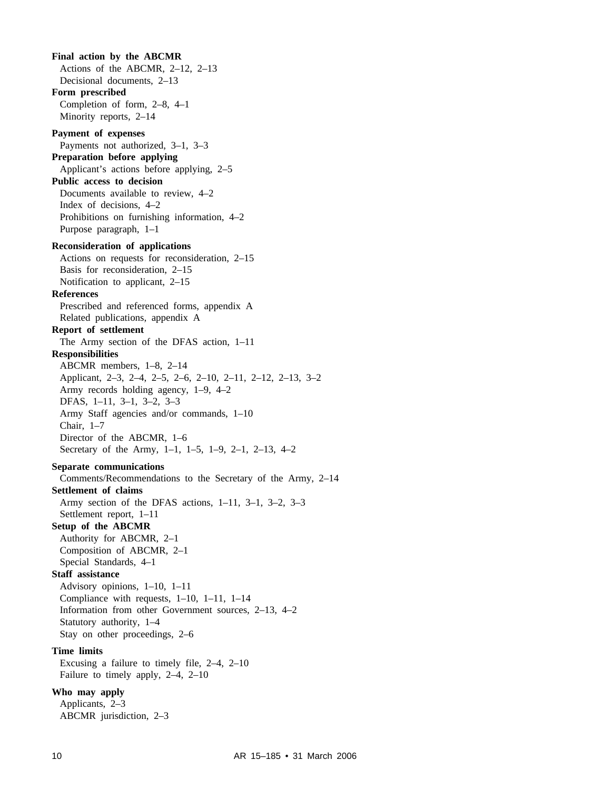**Final action by the ABCMR** Actions of the ABCMR, 2–12, 2–13 Decisional documents, 2–13 **Form prescribed** Completion of form, 2–8, 4–1 Minority reports, 2–14 **Payment of expenses** Payments not authorized, 3–1, 3–3 **Preparation before applying** Applicant's actions before applying, 2–5 **Public access to decision** Documents available to review, 4–2 Index of decisions, 4–2 Prohibitions on furnishing information, 4–2 Purpose paragraph, 1–1 **Reconsideration of applications** Actions on requests for reconsideration, 2–15 Basis for reconsideration, 2–15 Notification to applicant, 2–15 **References** Prescribed and referenced forms, appendix A Related publications, appendix A **Report of settlement** The Army section of the DFAS action, 1–11 **Responsibilities** ABCMR members, 1–8, 2–14 Applicant, 2–3, 2–4, 2–5, 2–6, 2–10, 2–11, 2–12, 2–13, 3–2 Army records holding agency, 1–9, 4–2 DFAS, 1–11, 3–1, 3–2, 3–3 Army Staff agencies and/or commands, 1–10 Chair, 1–7 Director of the ABCMR, 1–6 Secretary of the Army, 1–1, 1–5, 1–9, 2–1, 2–13, 4–2 **Separate communications** Comments/Recommendations to the Secretary of the Army, 2–14 **Settlement of claims** Army section of the DFAS actions, 1–11, 3–1, 3–2, 3–3 Settlement report, 1–11 **Setup of the ABCMR** Authority for ABCMR, 2–1 Composition of ABCMR, 2–1 Special Standards, 4–1 **Staff assistance** Advisory opinions, 1–10, 1–11 Compliance with requests, 1–10, 1–11, 1–14 Information from other Government sources, 2–13, 4–2 Statutory authority, 1–4 Stay on other proceedings, 2–6 **Time limits** Excusing a failure to timely file, 2–4, 2–10 Failure to timely apply, 2–4, 2–10 **Who may apply** Applicants, 2–3 ABCMR jurisdiction, 2–3